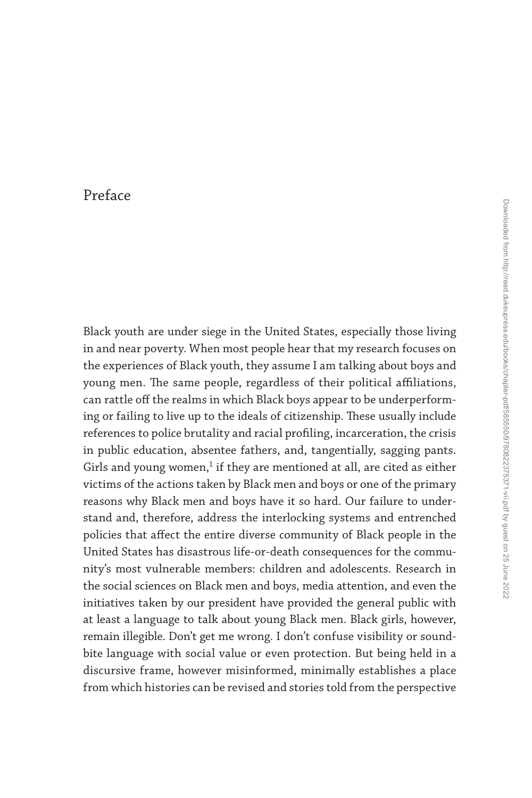## [Preface](#page--1-0)

Black youth are under siege in the United States, especially those living in and near poverty. When most people hear that my research focuses on the experiences of Black youth, they assume I am talking about boys and young men. The same people, regardless of their political affiliations, can rattle off the realms in which Black boys appear to be underperforming or failing to live up to the ideals of citizenship. These usually include references to police brutality and racial profiling, incarceration, the crisis in public education, absentee fathers, and, tangentially, sagging pants. Girls and young women, $^1$  $^1$  if they are mentioned at all, are cited as either victims of the actions taken by Black men and boys or one of the primary reasons why Black men and boys have it so hard. Our failure to understand and, therefore, address the interlocking systems and entrenched policies that affect the entire diverse community of Black people in the United States has disastrous life-or-death consequences for the community's most vulnerable members: children and adolescents. Research in the social sciences on Black men and boys, media attention, and even the initiatives taken by our president have provided the general public with at least a language to talk about young Black men. Black girls, however, remain illegible. Don't get me wrong. I don't confuse visibility or soundbite language with social value or even protection. But being held in a discursive frame, however misinformed, minimally establishes a place from which histories can be revised and stories told from the perspective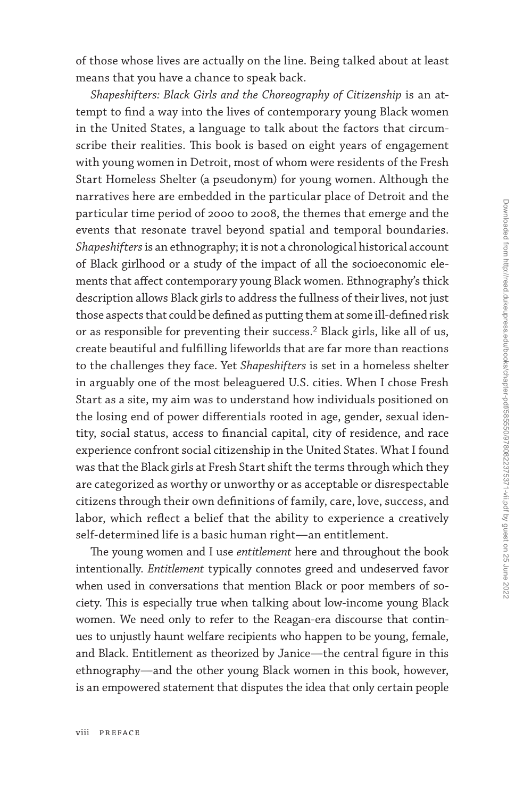of those whose lives are actually on the line. Being talked about at least means that you have a chance to speak back.

*Shapeshifters: Black Girls and the Choreography of Citizenship* is an attempt to find a way into the lives of contemporary young Black women in the United States, a language to talk about the factors that circumscribe their realities. This book is based on eight years of engagement with young women in Detroit, most of whom were residents of the Fresh Start Homeless Shelter (a pseudonym) for young women. Although the narratives here are embedded in the particular place of Detroit and the particular time period of 2000 to 2008, the themes that emerge and the events that resonate travel beyond spatial and temporal boundaries. *Shapeshifters* is an ethnography; it is not a chronological historical account of Black girlhood or a study of the impact of all the socioeconomic elements that affect contemporary young Black women. Ethnography's thick description allows Black girls to address the fullness of their lives, not just those aspects that could be defined as putting them at some ill-defined risk or as responsible for preventing their success.<sup>2</sup> Black girls, like all of us, create beautiful and fulfilling lifeworlds that are far more than reactions to the challenges they face. Yet *Shapeshifters* is set in a homeless shelter in arguably one of the most beleaguered U.S. cities. When I chose Fresh Start as a site, my aim was to understand how individuals positioned on the losing end of power differentials rooted in age, gender, sexual identity, social status, access to financial capital, city of residence, and race experience confront social citizenship in the United States. What I found was that the Black girls at Fresh Start shift the terms through which they are categorized as worthy or unworthy or as acceptable or disrespectable citizens through their own definitions of family, care, love, success, and labor, which reflect a belief that the ability to experience a creatively self-determined life is a basic human right—an entitlement.

The young women and I use *entitlement* here and throughout the book intentionally. *Entitlement* typically connotes greed and undeserved favor when used in conversations that mention Black or poor members of society. This is especially true when talking about low-income young Black women. We need only to refer to the Reagan-era discourse that continues to unjustly haunt welfare recipients who happen to be young, female, and Black. Entitlement as theorized by Janice—the central figure in this ethnography—and the other young Black women in this book, however, is an empowered statement that disputes the idea that only certain people